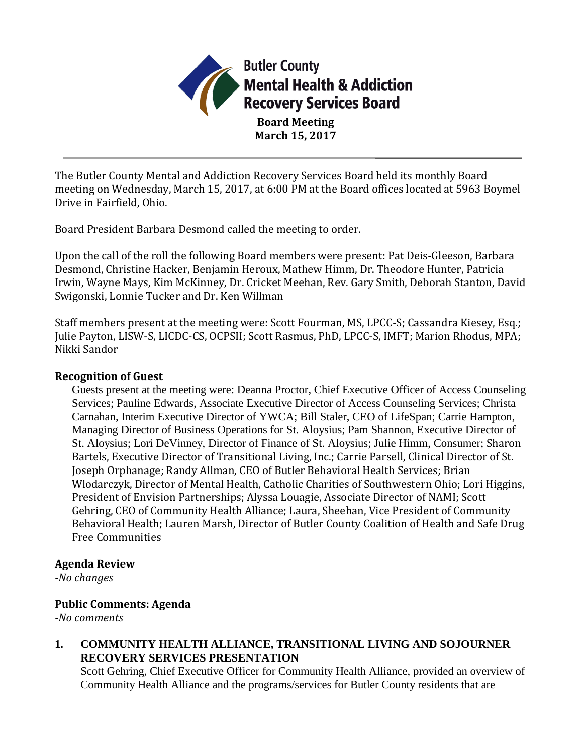

**Board Meeting March 15, 2017**

The Butler County Mental and Addiction Recovery Services Board held its monthly Board meeting on Wednesday, March 15, 2017, at 6:00 PM at the Board offices located at 5963 Boymel Drive in Fairfield, Ohio.

Board President Barbara Desmond called the meeting to order.

Upon the call of the roll the following Board members were present: Pat Deis-Gleeson, Barbara Desmond, Christine Hacker, Benjamin Heroux, Mathew Himm, Dr. Theodore Hunter, Patricia Irwin, Wayne Mays, Kim McKinney, Dr. Cricket Meehan, Rev. Gary Smith, Deborah Stanton, David Swigonski, Lonnie Tucker and Dr. Ken Willman

Staff members present at the meeting were: Scott Fourman, MS, LPCC-S; Cassandra Kiesey, Esq.; Julie Payton, LISW-S, LICDC-CS, OCPSII; Scott Rasmus, PhD, LPCC-S, IMFT; Marion Rhodus, MPA; Nikki Sandor

### **Recognition of Guest**

Guests present at the meeting were: Deanna Proctor, Chief Executive Officer of Access Counseling Services; Pauline Edwards, Associate Executive Director of Access Counseling Services; Christa Carnahan, Interim Executive Director of YWCA; Bill Staler, CEO of LifeSpan; Carrie Hampton, Managing Director of Business Operations for St. Aloysius; Pam Shannon, Executive Director of St. Aloysius; Lori DeVinney, Director of Finance of St. Aloysius; Julie Himm, Consumer; Sharon Bartels, Executive Director of Transitional Living, Inc.; Carrie Parsell, Clinical Director of St. Joseph Orphanage; Randy Allman, CEO of Butler Behavioral Health Services; Brian Wlodarczyk, Director of Mental Health, Catholic Charities of Southwestern Ohio; Lori Higgins, President of Envision Partnerships; Alyssa Louagie, Associate Director of NAMI; Scott Gehring, CEO of Community Health Alliance; Laura, Sheehan, Vice President of Community Behavioral Health; Lauren Marsh, Director of Butler County Coalition of Health and Safe Drug Free Communities

#### **Agenda Review**

*-No changes*

## **Public Comments: Agenda**

*-No comments*

**1. COMMUNITY HEALTH ALLIANCE, TRANSITIONAL LIVING AND SOJOURNER RECOVERY SERVICES PRESENTATION**

Scott Gehring, Chief Executive Officer for Community Health Alliance, provided an overview of Community Health Alliance and the programs/services for Butler County residents that are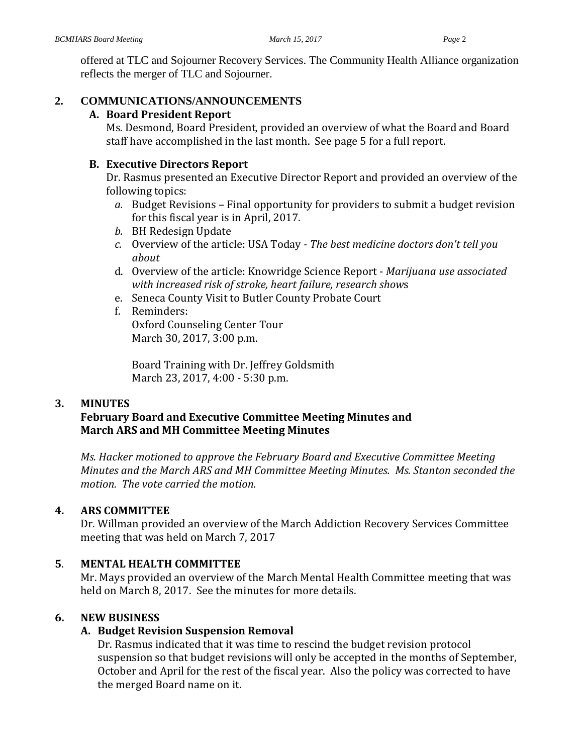offered at TLC and Sojourner Recovery Services. The Community Health Alliance organization reflects the merger of TLC and Sojourner.

# **2. COMMUNICATIONS/ANNOUNCEMENTS**

## **A. Board President Report**

Ms. Desmond, Board President, provided an overview of what the Board and Board staff have accomplished in the last month. See page 5 for a full report.

## **B. Executive Directors Report**

Dr. Rasmus presented an Executive Director Report and provided an overview of the following topics:

- *a.* Budget Revisions Final opportunity for providers to submit a budget revision for this fiscal year is in April, 2017.
- *b.* BH Redesign Update
- *c.* Overview of the article: USA Today *The best medicine doctors don't tell you about*
- d. Overview of the article: Knowridge Science Report *Marijuana use associated with increased risk of stroke, heart failure, research show*s
- e. Seneca County Visit to Butler County Probate Court
- f. Reminders: Oxford Counseling Center Tour March 30, 2017, 3:00 p.m.

Board Training with Dr. Jeffrey Goldsmith March 23, 2017, 4:00 - 5:30 p.m.

# **3. MINUTES**

# **February Board and Executive Committee Meeting Minutes and March ARS and MH Committee Meeting Minutes**

*Ms. Hacker motioned to approve the February Board and Executive Committee Meeting Minutes and the March ARS and MH Committee Meeting Minutes. Ms. Stanton seconded the motion. The vote carried the motion.*

# **4. ARS COMMITTEE**

Dr. Willman provided an overview of the March Addiction Recovery Services Committee meeting that was held on March 7, 2017

# **5**. **MENTAL HEALTH COMMITTEE**

Mr. Mays provided an overview of the March Mental Health Committee meeting that was held on March 8, 2017. See the minutes for more details.

# **6. NEW BUSINESS**

# **A. Budget Revision Suspension Removal**

Dr. Rasmus indicated that it was time to rescind the budget revision protocol suspension so that budget revisions will only be accepted in the months of September, October and April for the rest of the fiscal year. Also the policy was corrected to have the merged Board name on it.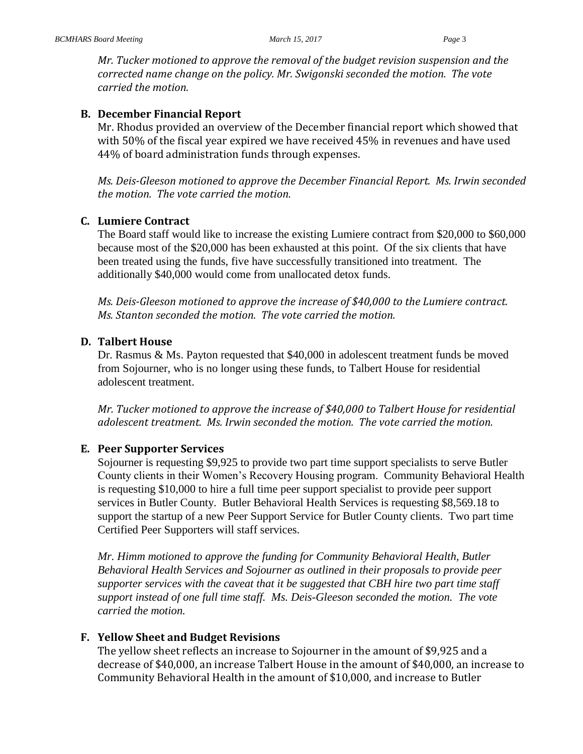*Mr. Tucker motioned to approve the removal of the budget revision suspension and the corrected name change on the policy. Mr. Swigonski seconded the motion. The vote carried the motion.*

#### **B. December Financial Report**

Mr. Rhodus provided an overview of the December financial report which showed that with 50% of the fiscal year expired we have received 45% in revenues and have used 44% of board administration funds through expenses.

*Ms. Deis-Gleeson motioned to approve the December Financial Report. Ms. Irwin seconded the motion. The vote carried the motion.*

#### **C. Lumiere Contract**

The Board staff would like to increase the existing Lumiere contract from \$20,000 to \$60,000 because most of the \$20,000 has been exhausted at this point. Of the six clients that have been treated using the funds, five have successfully transitioned into treatment. The additionally \$40,000 would come from unallocated detox funds.

*Ms. Deis-Gleeson motioned to approve the increase of \$40,000 to the Lumiere contract. Ms. Stanton seconded the motion. The vote carried the motion.*

#### **D. Talbert House**

Dr. Rasmus & Ms. Payton requested that \$40,000 in adolescent treatment funds be moved from Sojourner, who is no longer using these funds, to Talbert House for residential adolescent treatment.

*Mr. Tucker motioned to approve the increase of \$40,000 to Talbert House for residential adolescent treatment. Ms. Irwin seconded the motion. The vote carried the motion.*

#### **E. Peer Supporter Services**

Sojourner is requesting \$9,925 to provide two part time support specialists to serve Butler County clients in their Women's Recovery Housing program. Community Behavioral Health is requesting \$10,000 to hire a full time peer support specialist to provide peer support services in Butler County. Butler Behavioral Health Services is requesting \$8,569.18 to support the startup of a new Peer Support Service for Butler County clients. Two part time Certified Peer Supporters will staff services.

*Mr. Himm motioned to approve the funding for Community Behavioral Health, Butler Behavioral Health Services and Sojourner as outlined in their proposals to provide peer supporter services with the caveat that it be suggested that CBH hire two part time staff support instead of one full time staff. Ms. Deis-Gleeson seconded the motion. The vote carried the motion.*

#### **F. Yellow Sheet and Budget Revisions**

The yellow sheet reflects an increase to Sojourner in the amount of \$9,925 and a decrease of \$40,000, an increase Talbert House in the amount of \$40,000, an increase to Community Behavioral Health in the amount of \$10,000, and increase to Butler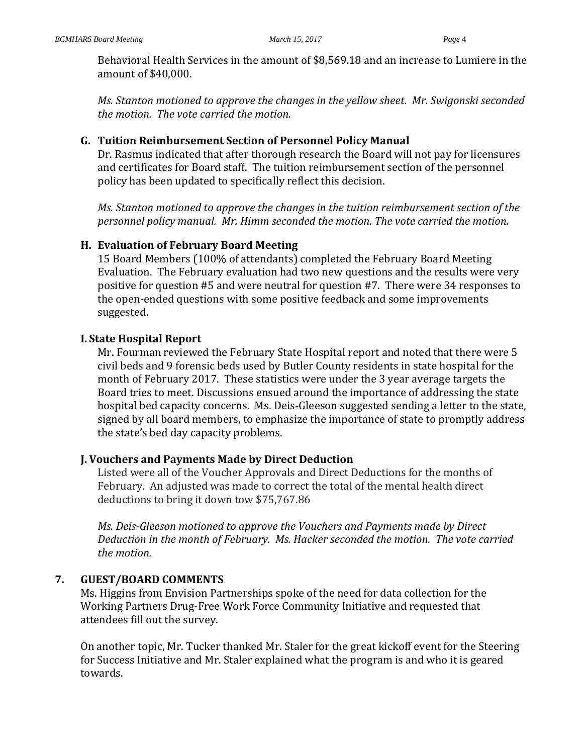Behavioral Health Services in the amount of \$8,569.18 and an increase to Lumiere in the amount of \$40,000.

*Ms. Stanton motioned to approve the changes in the yellow sheet. Mr. Swigonski seconded the motion. The vote carried the motion.*

### **G. Tuition Reimbursement Section of Personnel Policy Manual**

Dr. Rasmus indicated that after thorough research the Board will not pay for licensures and certificates for Board staff. The tuition reimbursement section of the personnel policy has been updated to specifically reflect this decision.

*Ms. Stanton motioned to approve the changes in the tuition reimbursement section of the personnel policy manual. Mr. Himm seconded the motion. The vote carried the motion.*

### **H. Evaluation of February Board Meeting**

15 Board Members (100% of attendants) completed the February Board Meeting Evaluation. The February evaluation had two new questions and the results were very positive for question #5 and were neutral for question #7. There were 34 responses to the open-ended questions with some positive feedback and some improvements suggested.

### **I. State Hospital Report**

Mr. Fourman reviewed the February State Hospital report and noted that there were 5 civil beds and 9 forensic beds used by Butler County residents in state hospital for the month of February 2017. These statistics were under the 3 year average targets the Board tries to meet. Discussions ensued around the importance of addressing the state hospital bed capacity concerns. Ms. Deis-Gleeson suggested sending a letter to the state, signed by all board members, to emphasize the importance of state to promptly address the state's bed day capacity problems.

## **J. Vouchers and Payments Made by Direct Deduction**

Listed were all of the Voucher Approvals and Direct Deductions for the months of February. An adjusted was made to correct the total of the mental health direct deductions to bring it down tow \$75,767.86

*Ms. Deis-Gleeson motioned to approve the Vouchers and Payments made by Direct Deduction in the month of February. Ms. Hacker seconded the motion. The vote carried the motion.*

## **7. GUEST/BOARD COMMENTS**

Ms. Higgins from Envision Partnerships spoke of the need for data collection for the Working Partners Drug-Free Work Force Community Initiative and requested that attendees fill out the survey.

On another topic, Mr. Tucker thanked Mr. Staler for the great kickoff event for the Steering for Success Initiative and Mr. Staler explained what the program is and who it is geared towards.